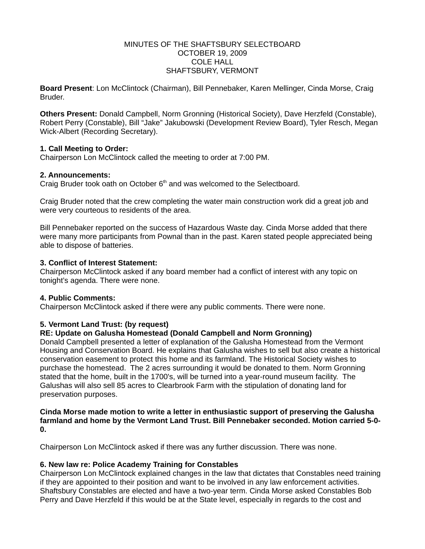#### MINUTES OF THE SHAFTSBURY SELECTBOARD OCTOBER 19, 2009 COLE HALL SHAFTSBURY, VERMONT

**Board Present**: Lon McClintock (Chairman), Bill Pennebaker, Karen Mellinger, Cinda Morse, Craig Bruder.

**Others Present:** Donald Campbell, Norm Gronning (Historical Society), Dave Herzfeld (Constable), Robert Perry (Constable), Bill "Jake" Jakubowski (Development Review Board), Tyler Resch, Megan Wick-Albert (Recording Secretary).

## **1. Call Meeting to Order:**

Chairperson Lon McClintock called the meeting to order at 7:00 PM.

#### **2. Announcements:**

Craig Bruder took oath on October 6<sup>th</sup> and was welcomed to the Selectboard.

Craig Bruder noted that the crew completing the water main construction work did a great job and were very courteous to residents of the area.

Bill Pennebaker reported on the success of Hazardous Waste day. Cinda Morse added that there were many more participants from Pownal than in the past. Karen stated people appreciated being able to dispose of batteries.

#### **3. Conflict of Interest Statement:**

Chairperson McClintock asked if any board member had a conflict of interest with any topic on tonight's agenda. There were none.

#### **4. Public Comments:**

Chairperson McClintock asked if there were any public comments. There were none.

## **5. Vermont Land Trust: (by request)**

## **RE: Update on Galusha Homestead (Donald Campbell and Norm Gronning)**

Donald Campbell presented a letter of explanation of the Galusha Homestead from the Vermont Housing and Conservation Board. He explains that Galusha wishes to sell but also create a historical conservation easement to protect this home and its farmland. The Historical Society wishes to purchase the homestead. The 2 acres surrounding it would be donated to them. Norm Gronning stated that the home, built in the 1700's, will be turned into a year-round museum facility. The Galushas will also sell 85 acres to Clearbrook Farm with the stipulation of donating land for preservation purposes.

**Cinda Morse made motion to write a letter in enthusiastic support of preserving the Galusha farmland and home by the Vermont Land Trust. Bill Pennebaker seconded. Motion carried 5-0- 0.**

Chairperson Lon McClintock asked if there was any further discussion. There was none.

## **6. New law re: Police Academy Training for Constables**

Chairperson Lon McClintock explained changes in the law that dictates that Constables need training if they are appointed to their position and want to be involved in any law enforcement activities. Shaftsbury Constables are elected and have a two-year term. Cinda Morse asked Constables Bob Perry and Dave Herzfeld if this would be at the State level, especially in regards to the cost and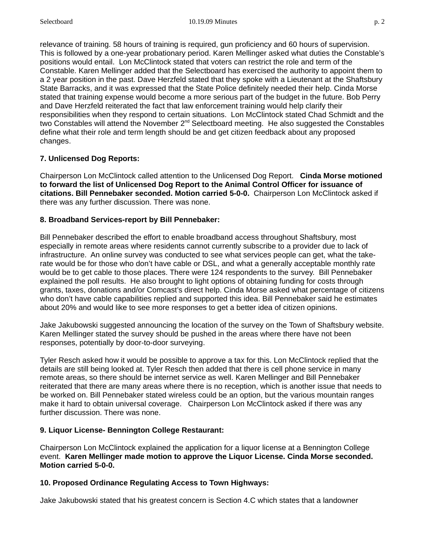relevance of training. 58 hours of training is required, gun proficiency and 60 hours of supervision. This is followed by a one-year probationary period. Karen Mellinger asked what duties the Constable's positions would entail. Lon McClintock stated that voters can restrict the role and term of the Constable. Karen Mellinger added that the Selectboard has exercised the authority to appoint them to a 2 year position in the past. Dave Herzfeld stated that they spoke with a Lieutenant at the Shaftsbury State Barracks, and it was expressed that the State Police definitely needed their help. Cinda Morse stated that training expense would become a more serious part of the budget in the future. Bob Perry and Dave Herzfeld reiterated the fact that law enforcement training would help clarify their responsibilities when they respond to certain situations. Lon McClintock stated Chad Schmidt and the two Constables will attend the November 2<sup>nd</sup> Selectboard meeting. He also suggested the Constables define what their role and term length should be and get citizen feedback about any proposed changes.

# **7. Unlicensed Dog Reports:**

Chairperson Lon McClintock called attention to the Unlicensed Dog Report. **Cinda Morse motioned to forward the list of Unlicensed Dog Report to the Animal Control Officer for issuance of citations. Bill Pennebaker seconded. Motion carried 5-0-0.** Chairperson Lon McClintock asked if there was any further discussion. There was none.

## **8. Broadband Services-report by Bill Pennebaker:**

Bill Pennebaker described the effort to enable broadband access throughout Shaftsbury, most especially in remote areas where residents cannot currently subscribe to a provider due to lack of infrastructure. An online survey was conducted to see what services people can get, what the takerate would be for those who don't have cable or DSL, and what a generally acceptable monthly rate would be to get cable to those places. There were 124 respondents to the survey. Bill Pennebaker explained the poll results. He also brought to light options of obtaining funding for costs through grants, taxes, donations and/or Comcast's direct help. Cinda Morse asked what percentage of citizens who don't have cable capabilities replied and supported this idea. Bill Pennebaker said he estimates about 20% and would like to see more responses to get a better idea of citizen opinions.

Jake Jakubowski suggested announcing the location of the survey on the Town of Shaftsbury website. Karen Mellinger stated the survey should be pushed in the areas where there have not been responses, potentially by door-to-door surveying.

Tyler Resch asked how it would be possible to approve a tax for this. Lon McClintock replied that the details are still being looked at. Tyler Resch then added that there is cell phone service in many remote areas, so there should be internet service as well. Karen Mellinger and Bill Pennebaker reiterated that there are many areas where there is no reception, which is another issue that needs to be worked on. Bill Pennebaker stated wireless could be an option, but the various mountain ranges make it hard to obtain universal coverage. Chairperson Lon McClintock asked if there was any further discussion. There was none.

# **9. Liquor License- Bennington College Restaurant:**

Chairperson Lon McClintock explained the application for a liquor license at a Bennington College event. **Karen Mellinger made motion to approve the Liquor License. Cinda Morse seconded. Motion carried 5-0-0.**

## **10. Proposed Ordinance Regulating Access to Town Highways:**

Jake Jakubowski stated that his greatest concern is Section 4.C which states that a landowner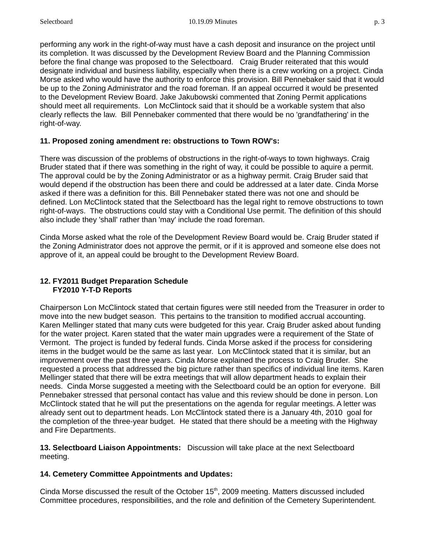performing any work in the right-of-way must have a cash deposit and insurance on the project until its completion. It was discussed by the Development Review Board and the Planning Commission before the final change was proposed to the Selectboard. Craig Bruder reiterated that this would designate individual and business liability, especially when there is a crew working on a project. Cinda Morse asked who would have the authority to enforce this provision. Bill Pennebaker said that it would be up to the Zoning Administrator and the road foreman. If an appeal occurred it would be presented to the Development Review Board. Jake Jakubowski commented that Zoning Permit applications should meet all requirements. Lon McClintock said that it should be a workable system that also clearly reflects the law. Bill Pennebaker commented that there would be no 'grandfathering' in the right-of-way.

## **11. Proposed zoning amendment re: obstructions to Town ROW's:**

There was discussion of the problems of obstructions in the right-of-ways to town highways. Craig Bruder stated that if there was something in the right of way, it could be possible to aquire a permit. The approval could be by the Zoning Administrator or as a highway permit. Craig Bruder said that would depend if the obstruction has been there and could be addressed at a later date. Cinda Morse asked if there was a definition for this. Bill Pennebaker stated there was not one and should be defined. Lon McClintock stated that the Selectboard has the legal right to remove obstructions to town right-of-ways. The obstructions could stay with a Conditional Use permit. The definition of this should also include they 'shall' rather than 'may' include the road foreman.

Cinda Morse asked what the role of the Development Review Board would be. Craig Bruder stated if the Zoning Administrator does not approve the permit, or if it is approved and someone else does not approve of it, an appeal could be brought to the Development Review Board.

## **12. FY2011 Budget Preparation Schedule FY2010 Y-T-D Reports**

Chairperson Lon McClintock stated that certain figures were still needed from the Treasurer in order to move into the new budget season. This pertains to the transition to modified accrual accounting. Karen Mellinger stated that many cuts were budgeted for this year. Craig Bruder asked about funding for the water project. Karen stated that the water main upgrades were a requirement of the State of Vermont. The project is funded by federal funds. Cinda Morse asked if the process for considering items in the budget would be the same as last year. Lon McClintock stated that it is similar, but an improvement over the past three years. Cinda Morse explained the process to Craig Bruder. She requested a process that addressed the big picture rather than specifics of individual line items. Karen Mellinger stated that there will be extra meetings that will allow department heads to explain their needs. Cinda Morse suggested a meeting with the Selectboard could be an option for everyone. Bill Pennebaker stressed that personal contact has value and this review should be done in person. Lon McClintock stated that he will put the presentations on the agenda for regular meetings. A letter was already sent out to department heads. Lon McClintock stated there is a January 4th, 2010 goal for the completion of the three-year budget. He stated that there should be a meeting with the Highway and Fire Departments.

**13. Selectboard Liaison Appointments:** Discussion will take place at the next Selectboard meeting.

# **14. Cemetery Committee Appointments and Updates:**

Cinda Morse discussed the result of the October 15<sup>th</sup>, 2009 meeting. Matters discussed included Committee procedures, responsibilities, and the role and definition of the Cemetery Superintendent.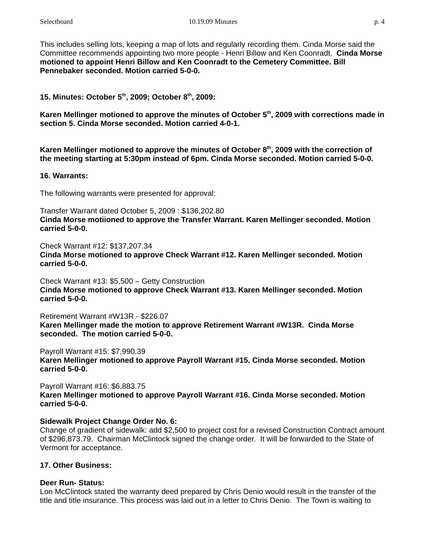This includes selling lots, keeping a map of lots and regularly recording them. Cinda Morse said the Committee recommends appointing two more people - Henri Billow and Ken Coonradt. **Cinda Morse motioned to appoint Henri Billow and Ken Coonradt to the Cemetery Committee. Bill Pennebaker seconded. Motion carried 5-0-0.**

**15. Minutes: October 5th, 2009; October 8th, 2009:**

Karen Mellinger motioned to approve the minutes of October 5<sup>th</sup>, 2009 with corrections made in **section 5. Cinda Morse seconded. Motion carried 4-0-1.**

Karen Mellinger motioned to approve the minutes of October 8<sup>th</sup>, 2009 with the correction of **the meeting starting at 5:30pm instead of 6pm. Cinda Morse seconded. Motion carried 5-0-0.**

#### **16. Warrants:**

The following warrants were presented for approval:

Transfer Warrant dated October 5, 2009 : \$136,202.80 **Cinda Morse motiioned to approve the Transfer Warrant. Karen Mellinger seconded. Motion carried 5-0-0.**

Check Warrant #12: \$137,207.34 **Cinda Morse motioned to approve Check Warrant #12. Karen Mellinger seconded. Motion carried 5-0-0.**

Check Warrant #13: \$5,500 – Getty Construction **Cinda Morse motioned to approve Check Warrant #13. Karen Mellinger seconded. Motion carried 5-0-0.**

Retirement Warrant #W13R - \$226.07

**Karen Mellinger made the motion to approve Retirement Warrant #W13R. Cinda Morse seconded. The motion carried 5-0-0.**

Payroll Warrant #15: \$7,990.39

**Karen Mellinger motioned to approve Payroll Warrant #15. Cinda Morse seconded. Motion carried 5-0-0.**

Payroll Warrant #16: \$6,883.75 **Karen Mellinger motioned to approve Payroll Warrant #16. Cinda Morse seconded. Motion carried 5-0-0.**

## **Sidewalk Project Change Order No. 6:**

Change of gradient of sidewalk: add \$2,500 to project cost for a revised Construction Contract amount of \$296,873.79. Chairman McClintock signed the change order. It will be forwarded to the State of Vermont for acceptance.

# **17. Other Business:**

## **Deer Run- Status:**

Lon McClintock stated the warranty deed prepared by Chris Denio would result in the transfer of the title and title insurance. This process was laid out in a letter to Chris Denio. The Town is waiting to